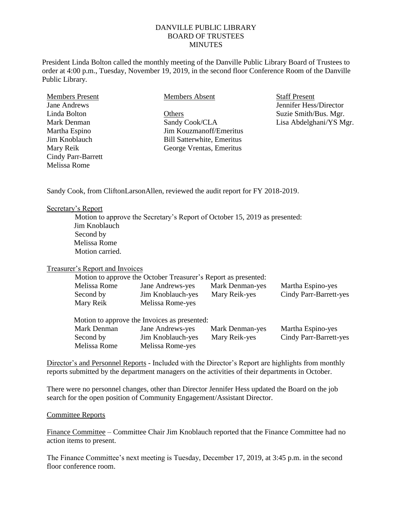## DANVILLE PUBLIC LIBRARY BOARD OF TRUSTEES **MINUTES**

President Linda Bolton called the monthly meeting of the Danville Public Library Board of Trustees to order at 4:00 p.m., Tuesday, November 19, 2019, in the second floor Conference Room of the Danville Public Library.

| <b>Members Present</b> | Members Absent                    | <b>Staff Present</b>    |
|------------------------|-----------------------------------|-------------------------|
| Jane Andrews           |                                   | Jennifer Hess/Director  |
| Linda Bolton           | Others                            | Suzie Smith/Bus. Mgr.   |
| Mark Denman            | Sandy Cook/CLA                    | Lisa Abdelghani/YS Mgr. |
| Martha Espino          | Jim Kouzmanoff/Emeritus           |                         |
| Jim Knoblauch          | <b>Bill Satterwhite, Emeritus</b> |                         |
| Mary Reik              | George Vrentas, Emeritus          |                         |
| Cindy Parr-Barrett     |                                   |                         |
| Melissa Rome           |                                   |                         |

Sandy Cook, from CliftonLarsonAllen, reviewed the audit report for FY 2018-2019.

## Secretary's Report

Motion to approve the Secretary's Report of October 15, 2019 as presented: Jim Knoblauch Second by Melissa Rome Motion carried.

## Treasurer's Report and Invoices

| Motion to approve the October Treasurer's Report as presented: |                   |                        |                               |  |  |
|----------------------------------------------------------------|-------------------|------------------------|-------------------------------|--|--|
| Melissa Rome                                                   | Jane Andrews-yes  | Mark Denman-yes        | Martha Espino-yes             |  |  |
| Second by                                                      | Jim Knoblauch-yes | Mary Reik-yes          | <b>Cindy Parr-Barrett-yes</b> |  |  |
| Mary Reik                                                      | Melissa Rome-yes  |                        |                               |  |  |
|                                                                |                   |                        |                               |  |  |
| Motion to approve the Invoices as presented:                   |                   |                        |                               |  |  |
| Mark Denman                                                    | Jane Andrews-yes  | <b>Mark Denman-yes</b> | Martha Espino-yes             |  |  |
| Second by                                                      | Jim Knoblauch-yes | Mary Reik-yes          | Cindy Parr-Barrett-yes        |  |  |
| Melissa Rome                                                   | Melissa Rome-yes  |                        |                               |  |  |

Director's and Personnel Reports - Included with the Director's Report are highlights from monthly reports submitted by the department managers on the activities of their departments in October.

There were no personnel changes, other than Director Jennifer Hess updated the Board on the job search for the open position of Community Engagement/Assistant Director.

## Committee Reports

Finance Committee – Committee Chair Jim Knoblauch reported that the Finance Committee had no action items to present.

The Finance Committee's next meeting is Tuesday, December 17, 2019, at 3:45 p.m. in the second floor conference room.